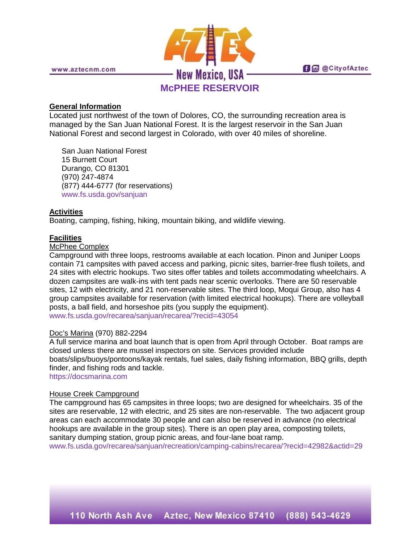

## **General Information**

Located just northwest of the town of Dolores, CO, the surrounding recreation area is managed by the San Juan National Forest. It is the largest reservoir in the San Juan National Forest and second largest in Colorado, with over 40 miles of shoreline.

San Juan National Forest 15 Burnett Court Durango, CO 81301 (970) 247-4874 (877) 444-6777 (for reservations) [www.fs.usda.gov/sanjuan](http://www.fs.usda.gov/sanjuan)

# **Activities**

Boating, camping, fishing, hiking, mountain biking, and wildlife viewing.

# **Facilities**

#### McPhee Complex

Campground with three loops, restrooms available at each location. Pinon and Juniper Loops contain 71 campsites with paved access and parking, picnic sites, barrier-free flush toilets, and 24 sites with electric hookups. Two sites offer tables and toilets accommodating wheelchairs. A dozen campsites are walk-ins with tent pads near scenic overlooks. There are 50 reservable sites, 12 with electricity, and 21 non-reservable sites. The third loop, Moqui Group, also has 4 group campsites available for reservation (with limited electrical hookups). There are volleyball posts, a ball field, and horseshoe pits (you supply the equipment). [www.fs.usda.gov/recarea/sanjuan/recarea/?recid=43054](http://www.fs.usda.gov/recarea/sanjuan/recarea/?recid=43054)

## Doc's Marina (970) 882-2294

A full service marina and boat launch that is open from April through October. Boat ramps are closed unless there are mussel inspectors on site. Services provided include boats/slips/buoys/pontoons/kayak rentals, fuel sales, daily fishing information, BBQ grills, depth finder, and fishing rods and tackle.

[https://docsmarina.com](https://docsmarina.com/)

## House Creek Campground

The campground has 65 campsites in three loops; two are designed for wheelchairs. 35 of the sites are reservable, 12 with electric, and 25 sites are non-reservable. The two adjacent group areas can each accommodate 30 people and can also be reserved in advance (no electrical hookups are available in the group sites). There is an open play area, composting toilets, sanitary dumping station, group picnic areas, and four-lane boat ramp.

[www.fs.usda.gov/recarea/sanjuan/recreation/camping-cabins/recarea/?recid=42982&actid=29](http://www.fs.usda.gov/recarea/sanjuan/recreation/camping-cabins/recarea/?recid=42982&actid=29)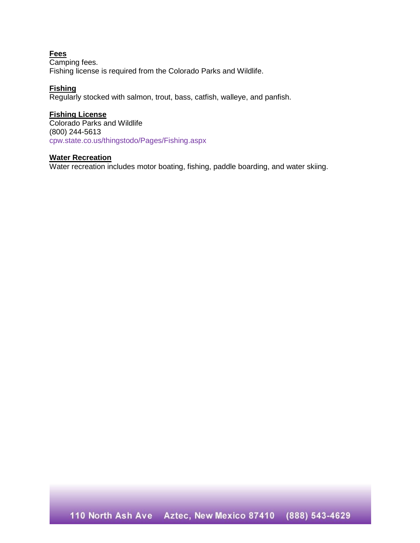### **Fees**

Camping fees. Fishing license is required from the Colorado Parks and Wildlife.

## **Fishing**

Regularly stocked with salmon, trout, bass, catfish, walleye, and panfish.

## **Fishing License**

Colorado Parks and Wildlife (800) 244-5613 [cpw.state.co.us/thingstodo/Pages/Fishing.aspx](http://cpw.state.co.us/thingstodo/Pages/Fishing.aspx)

## **Water Recreation**

Water recreation includes motor boating, fishing, paddle boarding, and water skiing.